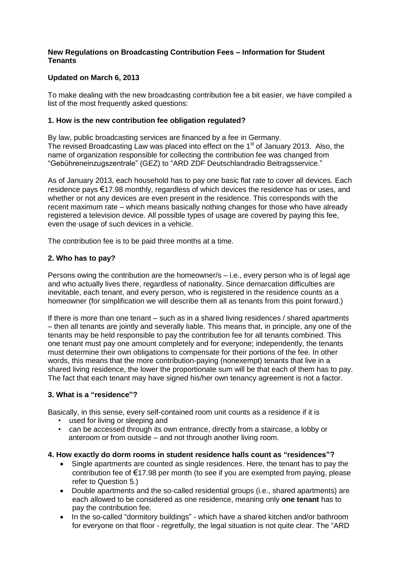## **New Regulations on Broadcasting Contribution Fees – Information for Student Tenants**

## **Updated on March 6, 2013**

To make dealing with the new broadcasting contribution fee a bit easier, we have compiled a list of the most frequently asked questions:

## **1. How is the new contribution fee obligation regulated?**

By law, public broadcasting services are financed by a fee in Germany. The revised Broadcasting Law was placed into effect on the 1<sup>st</sup> of January 2013. Also, the name of organization responsible for collecting the contribution fee was changed from "Gebühreneinzugszentrale" (GEZ) to "ARD ZDF Deutschlandradio Beitragsservice."

As of January 2013, each household has to pay one basic flat rate to cover all devices. Each residence pays €17.98 monthly, regardless of which devices the residence has or uses. and whether or not any devices are even present in the residence. This corresponds with the recent maximum rate – which means basically nothing changes for those who have already registered a television device. All possible types of usage are covered by paying this fee, even the usage of such devices in a vehicle.

The contribution fee is to be paid three months at a time.

## **2. Who has to pay?**

Persons owing the contribution are the homeowner/s – i.e., every person who is of legal age and who actually lives there, regardless of nationality. Since demarcation difficulties are inevitable, each tenant, and every person, who is registered in the residence counts as a homeowner (for simplification we will describe them all as tenants from this point forward.)

If there is more than one tenant – such as in a shared living residences / shared apartments – then all tenants are jointly and severally liable. This means that, in principle, any one of the tenants may be held responsible to pay the contribution fee for all tenants combined. This one tenant must pay one amount completely and for everyone; independently, the tenants must determine their own obligations to compensate for their portions of the fee. In other words, this means that the more contribution-paying (nonexempt) tenants that live in a shared living residence, the lower the proportionate sum will be that each of them has to pay. The fact that each tenant may have signed his/her own tenancy agreement is not a factor.

## **3. What is a "residence"?**

Basically, in this sense, every self-contained room unit counts as a residence if it is

- used for living or sleeping and
- can be accessed through its own entrance, directly from a staircase, a lobby or anteroom or from outside – and not through another living room.

#### **4. How exactly do dorm rooms in student residence halls count as "residences"?**

- Single apartments are counted as single residences. Here, the tenant has to pay the contribution fee of  $\epsilon$ 17.98 per month (to see if you are exempted from paying, please refer to Question 5.)
- Double apartments and the so-called residential groups (i.e., shared apartments) are each allowed to be considered as one residence, meaning only **one tenant** has to pay the contribution fee.
- In the so-called "dormitory buildings" which have a shared kitchen and/or bathroom for everyone on that floor - regretfully, the legal situation is not quite clear. The "ARD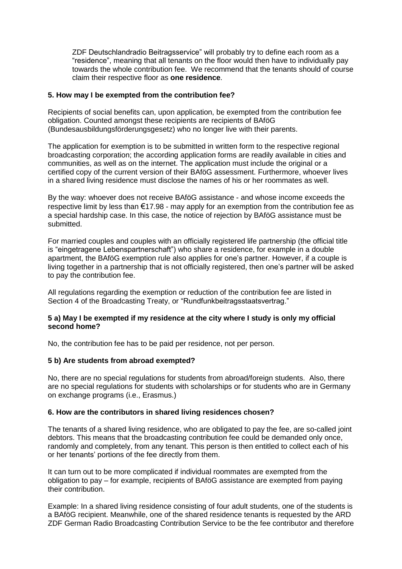ZDF Deutschlandradio Beitragsservice" will probably try to define each room as a "residence", meaning that all tenants on the floor would then have to individually pay towards the whole contribution fee. We recommend that the tenants should of course claim their respective floor as **one residence**.

## **5. How may I be exempted from the contribution fee?**

Recipients of social benefits can, upon application, be exempted from the contribution fee obligation. Counted amongst these recipients are recipients of BAföG (Bundesausbildungsförderungsgesetz) who no longer live with their parents.

The application for exemption is to be submitted in written form to the respective regional broadcasting corporation; the according application forms are readily available in cities and communities, as well as on the internet. The application must include the original or a certified copy of the current version of their BAföG assessment. Furthermore, whoever lives in a shared living residence must disclose the names of his or her roommates as well.

By the way: whoever does not receive BAföG assistance - and whose income exceeds the respective limit by less than  $\epsilon$ 17.98 - may apply for an exemption from the contribution fee as a special hardship case. In this case, the notice of rejection by BAföG assistance must be submitted.

For married couples and couples with an officially registered life partnership (the official title is "eingetragene Lebenspartnerschaft") who share a residence, for example in a double apartment, the BAföG exemption rule also applies for one's partner. However, if a couple is living together in a partnership that is not officially registered, then one's partner will be asked to pay the contribution fee.

All regulations regarding the exemption or reduction of the contribution fee are listed in Section 4 of the Broadcasting Treaty, or "Rundfunkbeitragsstaatsvertrag."

### **5 a) May I be exempted if my residence at the city where I study is only my official second home?**

No, the contribution fee has to be paid per residence, not per person.

## **5 b) Are students from abroad exempted?**

No, there are no special regulations for students from abroad/foreign students. Also, there are no special regulations for students with scholarships or for students who are in Germany on exchange programs (i.e., Erasmus.)

#### **6. How are the contributors in shared living residences chosen?**

The tenants of a shared living residence, who are obligated to pay the fee, are so-called joint debtors. This means that the broadcasting contribution fee could be demanded only once, randomly and completely, from any tenant. This person is then entitled to collect each of his or her tenants' portions of the fee directly from them.

It can turn out to be more complicated if individual roommates are exempted from the obligation to pay – for example, recipients of BAföG assistance are exempted from paying their contribution.

Example: In a shared living residence consisting of four adult students, one of the students is a BAföG recipient. Meanwhile, one of the shared residence tenants is requested by the ARD ZDF German Radio Broadcasting Contribution Service to be the fee contributor and therefore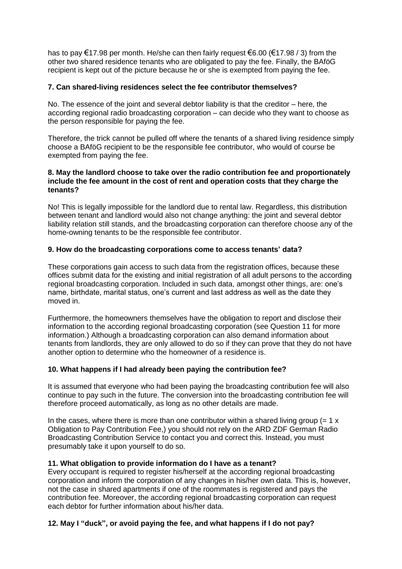has to pay €17.98 per month. He/she can then fairly request €6.00 (€17.98 / 3) from the other two shared residence tenants who are obligated to pay the fee. Finally, the BAföG recipient is kept out of the picture because he or she is exempted from paying the fee.

## **7. Can shared-living residences select the fee contributor themselves?**

No. The essence of the joint and several debtor liability is that the creditor – here, the according regional radio broadcasting corporation – can decide who they want to choose as the person responsible for paying the fee.

Therefore, the trick cannot be pulled off where the tenants of a shared living residence simply choose a BAföG recipient to be the responsible fee contributor, who would of course be exempted from paying the fee.

### **8. May the landlord choose to take over the radio contribution fee and proportionately include the fee amount in the cost of rent and operation costs that they charge the tenants?**

No! This is legally impossible for the landlord due to rental law. Regardless, this distribution between tenant and landlord would also not change anything: the joint and several debtor liability relation still stands, and the broadcasting corporation can therefore choose any of the home-owning tenants to be the responsible fee contributor.

## **9. How do the broadcasting corporations come to access tenants' data?**

These corporations gain access to such data from the registration offices, because these offices submit data for the existing and initial registration of all adult persons to the according regional broadcasting corporation. Included in such data, amongst other things, are: one's name, birthdate, marital status, one's current and last address as well as the date they moved in.

Furthermore, the homeowners themselves have the obligation to report and disclose their information to the according regional broadcasting corporation (see Question 11 for more information.) Although a broadcasting corporation can also demand information about tenants from landlords, they are only allowed to do so if they can prove that they do not have another option to determine who the homeowner of a residence is.

# **10. What happens if I had already been paying the contribution fee?**

It is assumed that everyone who had been paying the broadcasting contribution fee will also continue to pay such in the future. The conversion into the broadcasting contribution fee will therefore proceed automatically, as long as no other details are made.

In the cases, where there is more than one contributor within a shared living group  $(= 1 \times$ Obligation to Pay Contribution Fee,) you should not rely on the ARD ZDF German Radio Broadcasting Contribution Service to contact you and correct this. Instead, you must presumably take it upon yourself to do so.

## **11. What obligation to provide information do I have as a tenant?**

Every occupant is required to register his/herself at the according regional broadcasting corporation and inform the corporation of any changes in his/her own data. This is, however, not the case in shared apartments if one of the roommates is registered and pays the contribution fee. Moreover, the according regional broadcasting corporation can request each debtor for further information about his/her data.

# **12. May I "duck", or avoid paying the fee, and what happens if I do not pay?**